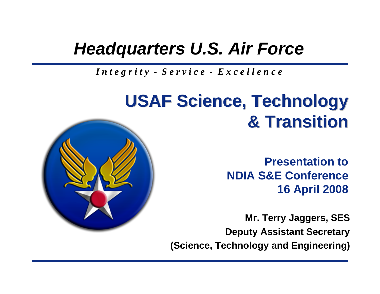#### *Headquarters U.S. Air Force*

*I n t e g r i t y - S e r v i c e - E x c e l l e n c e*

#### **USAF Science, Technology USAF Science, Technology & Transition & Transition**

**Presentation toNDIA S&E Conference16 April 2008**

**Mr. Terry Jaggers, SES Deputy Assistant Secretary (Science, Technology and Engineering)**

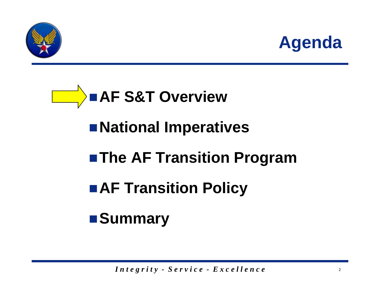

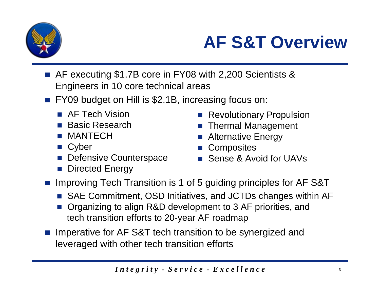

#### **AF S&T Overview**

- AF executing \$1.7B core in FY08 with 2,200 Scientists & Engineers in 10 core technical areas
- Т, FY09 budget on Hill is \$2.1B, increasing focus on:
	- AF Tech Vision
	- Basic Research
	- MANTECH
	- **Cyber**
	- **Defensive Counterspace**
	- P) Directed Energy
- Revolutionary Propulsion
- **Thermal Management**
- p. Alternative Energy
- p. **Composites**
- Sense & Avoid for UAVs
- Т, Improving Tech Transition is 1 of 5 guiding principles for AF S&T
	- SAE Commitment, OSD Initiatives, and JCTDs changes within AF
	- P) Organizing to align R&D development to 3 AF priorities, and tech transition efforts to 20-year AF roadmap
- **Imperative for AF S&T tech transition to be synergized and** leveraged with other tech transition efforts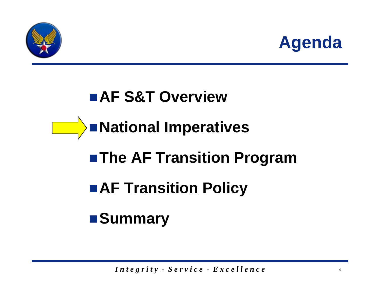

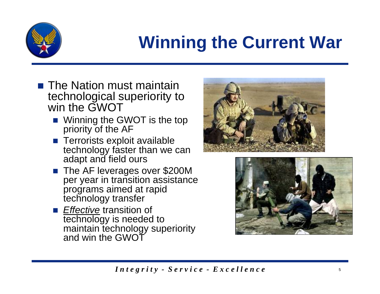

### **Winning the Current War**

- $\blacksquare$  The Nation must maintain technological superiority to win the GWOT
	- Winning the GWOT is the top priority of the AF
	- **Terrorists exploit available** technology faster than we can adapt and field ours
	- The AF leverages over \$200M per year in transition assistance programs aimed at rapid technology transfer
	- *Effective* transition of technology is needed to maintain technology superiority and win the GWOT



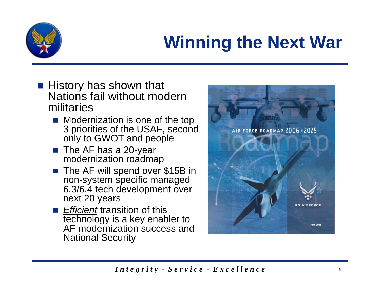

### **Winning the Next War**

- $\blacksquare$  History has shown that Nations fail without modern militaries
	- **Nodernization is one of the top** 3 priorities of the USAF, second only to GWOT and people
	- $\blacksquare$  The AF has a 20-year modernization roadmap
	- The AF will spend over \$15B in non-system specific managed 6.3/6.4 tech development over next 20 years
	- *Efficient* transition of this technology is a key enabler to AF modernization success and National Security

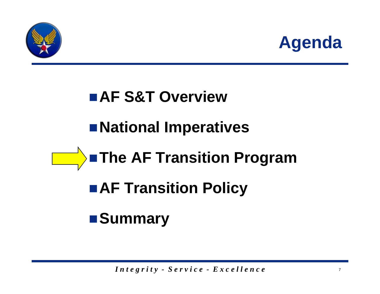

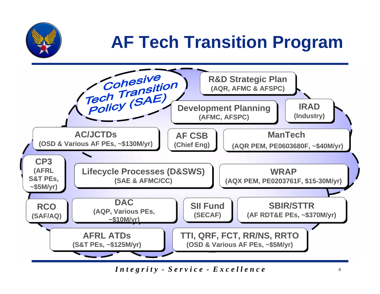

### **AF Tech Transition Program**



*Integrity - Service - Excellence*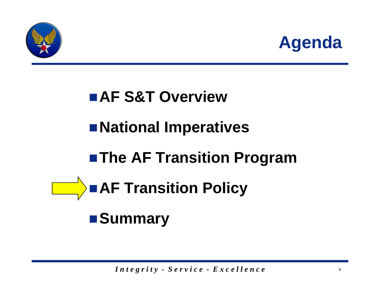

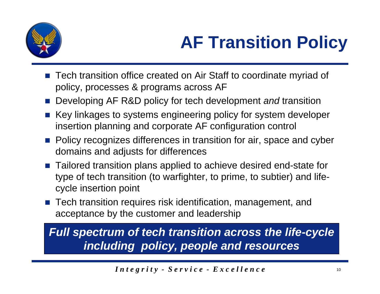

- Tech transition office created on Air Staff to coordinate myriad of policy, processes & programs across AF
- Т, Developing AF R&D policy for tech development *and* transition
- Т, Key linkages to systems engineering policy for system developer insertion planning and corporate AF configuration control
- **Policy recognizes differences in transition for air, space and cyber** domains and adjusts for differences
- Т, Tailored transition plans applied to achieve desired end-state for type of tech transition (to warfighter, to prime, to subtier) and lifecycle insertion point
- Tech transition requires risk identification, management, and acceptance by the customer and leadership

*Full spectrum of tech transition across the life-cycle including policy, people and resources*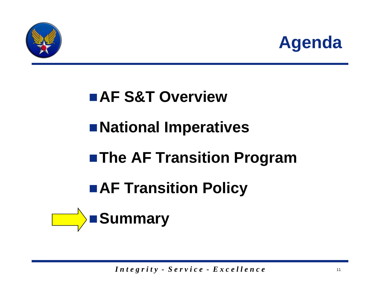

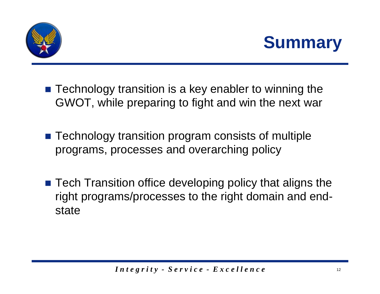



- Technology transition is a key enabler to winning the GWOT, while preparing to fight and win the next war
- Technology transition program consists of multiple programs, processes and overarching policy
- Tech Transition office developing policy that aligns the right programs/processes to the right domain and endstate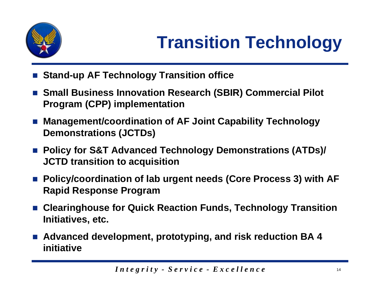

- Т, **Stand-up AF Technology Transition office**
- Small Business Innovation Research (SBIR) Commercial Pilot **Program (CPP) implementation**
- **Management/coordination of AF Joint Capability Technology Demonstrations (JCTDs)**
- Policy for S&T Advanced Technology Demonstrations (ATDs)/ **JCTD transition to acquisition**
- Policy/coordination of lab urgent needs (Core Process 3) with AF **Rapid Response Program**
- **Clearinghouse for Quick Reaction Funds, Technology Transition Initiatives, etc.**
- **Advanced development, prototyping, and risk reduction BA 4 initiative**